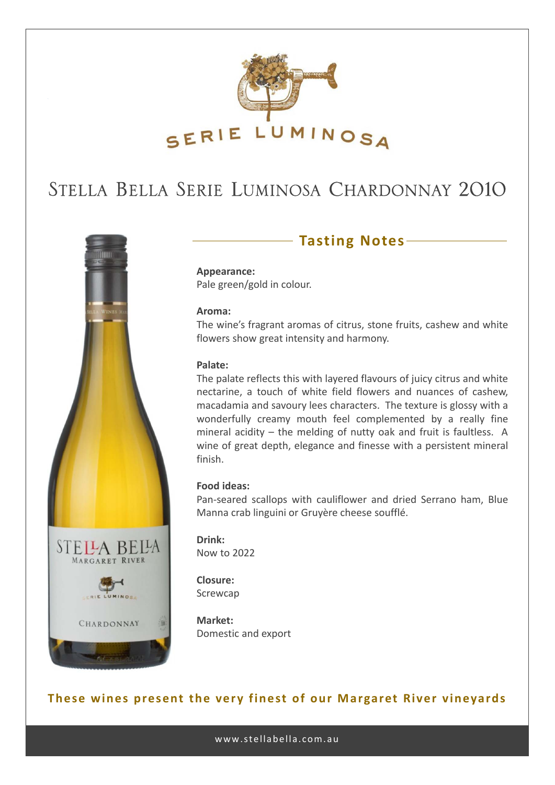

# STELLA BELLA SERIE LUMINOSA CHARDONNAY 2010



### **Tasting Notes**

**Appearance:** Pale green/gold in colour.

#### **Aroma:**

The wine's fragrant aromas of citrus, stone fruits, cashew and white flowers show great intensity and harmony.

#### **Palate:**

The palate reflects this with layered flavours of juicy citrus and white nectarine, a touch of white field flowers and nuances of cashew, macadamia and savoury lees characters. The texture is glossy with a wonderfully creamy mouth feel complemented by a really fine mineral acidity – the melding of nutty oak and fruit is faultless. A wine of great depth, elegance and finesse with a persistent mineral finish.

#### **Food ideas:**

Pan‐seared scallops with cauliflower and dried Serrano ham, Blue Manna crab linguini or Gruyère cheese soufflé.

**Drink:** Now to 2022

**Closure:** Screwcap

**Market:** Domestic and export

#### **These wines present the very finest of our Margaret River vineyards**

www.stellabella.com.au